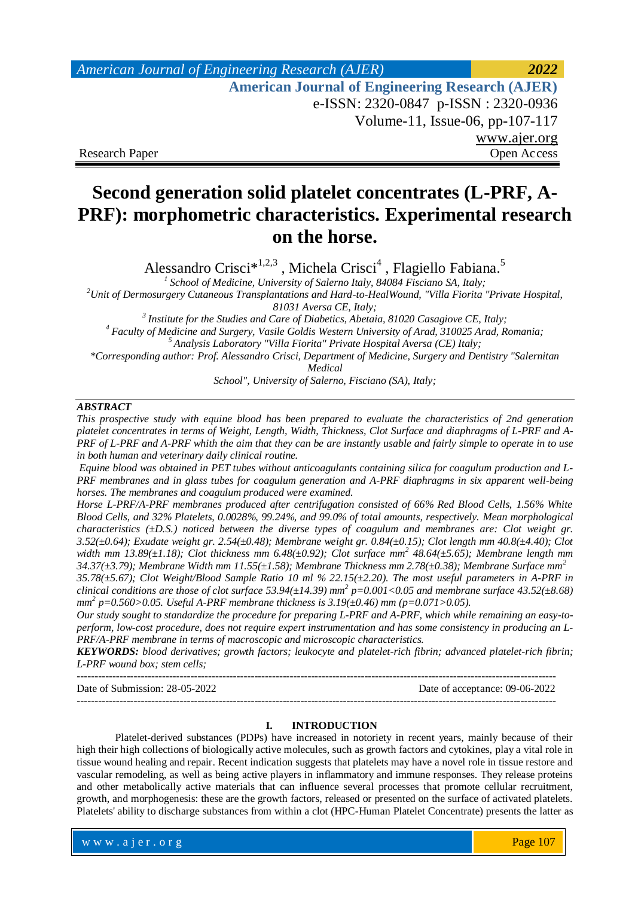# *American Journal of Engineering Research (AJER) 2022*  **American Journal of Engineering Research (AJER)** e-ISSN: 2320-0847 p-ISSN : 2320-0936 Volume-11, Issue-06, pp-107-117 www.ajer.org Research Paper Open Access

# **Second generation solid platelet concentrates (L-PRF, A-PRF): morphometric characteristics. Experimental research on the horse.**

Alessandro Crisci<sup>\*1,2,3</sup>, Michela Crisci<sup>4</sup>, Flagiello Fabiana.<sup>5</sup>

*1 School of Medicine, University of Salerno Italy, 84084 Fisciano SA, Italy; <sup>2</sup>Unit of Dermosurgery Cutaneous Transplantations and Hard-to-HealWound, "Villa Fiorita "Private Hospital,* 

*81031 Aversa CE, Italy;*

*3 Institute for the Studies and Care of Diabetics, Abetaia, 81020 Casagiove CE, Italy; <sup>4</sup> Faculty of Medicine and Surgery, Vasile Goldis Western University of Arad, 310025 Arad, Romania; <sup>5</sup>Analysis Laboratory "Villa Fiorita" Private Hospital Aversa (CE) Italy;*

*\*Corresponding author: Prof. Alessandro Crisci, Department of Medicine, Surgery and Dentistry "Salernitan* 

*Medical*

*School", University of Salerno, Fisciano (SA), Italy;*

#### *ABSTRACT*

*This prospective study with equine blood has been prepared to evaluate the characteristics of 2nd generation platelet concentrates in terms of Weight, Length, Width, Thickness, Clot Surface and diaphragms of L-PRF and A-PRF of L-PRF and A-PRF whith the aim that they can be are instantly usable and fairly simple to operate in to use in both human and veterinary daily clinical routine.*

*Equine blood was obtained in PET tubes without anticoagulants containing silica for coagulum production and L-PRF membranes and in glass tubes for coagulum generation and A-PRF diaphragms in six apparent well-being horses. The membranes and coagulum produced were examined.* 

*Horse L-PRF/A-PRF membranes produced after centrifugation consisted of 66% Red Blood Cells, 1.56% White Blood Cells, and 32% Platelets, 0.0028%, 99.24%, and 99.0% of total amounts, respectively. Mean morphological characteristics (±D.S.) noticed between the diverse types of coagulum and membranes are: Clot weight gr. 3.52(±0.64); Exudate weight gr. 2.54(±0.48); Membrane weight gr. 0.84(±0.15); Clot length mm 40.8(±4.40); Clot width mm 13.89(±1.18); Clot thickness mm 6.48(±0.92); Clot surface mm<sup>2</sup> 48.64(±5.65); Membrane length mm 34.37(±3.79); Membrane Width mm 11.55(±1.58); Membrane Thickness mm 2.78(±0.38); Membrane Surface mm<sup>2</sup>*

*35.78(±5.67); Clot Weight/Blood Sample Ratio 10 ml % 22.15(±2.20). The most useful parameters in A-PRF in clinical conditions are those of clot surface 53.94(±14.39) mm<sup>2</sup> p=0.001<0.05 and membrane surface 43.52(±8.68) mm 2 p=0.560>0.05. Useful A-PRF membrane thickness is 3.19(±0.46) mm (p=0.071>0.05).*

*Our study sought to standardize the procedure for preparing L-PRF and A-PRF, which while remaining an easy-toperform, low-cost procedure, does not require expert instrumentation and has some consistency in producing an L-PRF/A-PRF membrane in terms of macroscopic and microscopic characteristics.*

*KEYWORDS: blood derivatives; growth factors; leukocyte and platelet-rich fibrin; advanced platelet-rich fibrin; L-PRF wound box; stem cells;* 

--------------------------------------------------------------------------------------------------------------------------------------- Date of Submission: 28-05-2022 Date of acceptance: 09-06-2022 ---------------------------------------------------------------------------------------------------------------------------------------

#### **I. INTRODUCTION**

Platelet-derived substances (PDPs) have increased in notoriety in recent years, mainly because of their high their high collections of biologically active molecules, such as growth factors and cytokines, play a vital role in tissue wound healing and repair. Recent indication suggests that platelets may have a novel role in tissue restore and vascular remodeling, as well as being active players in inflammatory and immune responses. They release proteins and other metabolically active materials that can influence several processes that promote cellular recruitment, growth, and morphogenesis: these are the growth factors, released or presented on the surface of activated platelets. Platelets' ability to discharge substances from within a clot (HPC-Human Platelet Concentrate) presents the latter as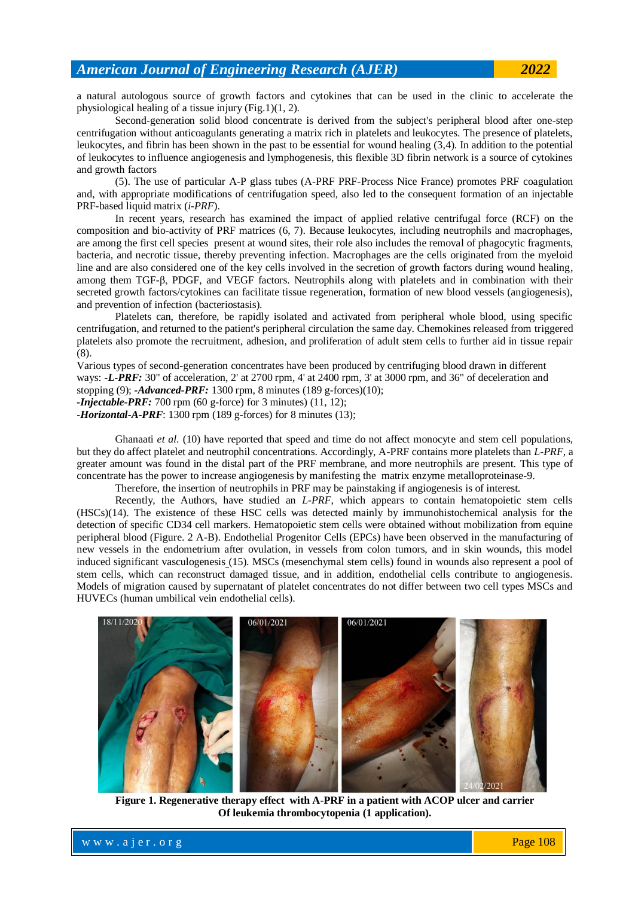a natural autologous source of growth factors and cytokines that can be used in the clinic to accelerate the physiological healing of a tissue injury (Fig.1)(1, 2).

Second-generation solid blood concentrate is derived from the subject's peripheral blood after one-step centrifugation without anticoagulants generating a matrix rich in platelets and leukocytes. The presence of platelets, leukocytes, and fibrin has been shown in the past to be essential for wound healing (3,4). In addition to the potential of leukocytes to influence angiogenesis and lymphogenesis, this flexible 3D fibrin network is a source of cytokines and growth factors

(5). The use of particular A-P glass tubes (A-PRF PRF-Process Nice France) promotes PRF coagulation and, with appropriate modifications of centrifugation speed, also led to the consequent formation of an injectable PRF-based liquid matrix (*i-PRF*).

In recent years, research has examined the impact of applied relative centrifugal force (RCF) on the composition and bio-activity of PRF matrices (6, 7). Because leukocytes, including neutrophils and macrophages, are among the first cell species present at wound sites, their role also includes the removal of phagocytic fragments, bacteria, and necrotic tissue, thereby preventing infection. Macrophages are the cells originated from the myeloid line and are also considered one of the key cells involved in the secretion of growth factors during wound healing, among them TGF-β, PDGF, and VEGF factors. Neutrophils along with platelets and in combination with their secreted growth factors/cytokines can facilitate tissue regeneration, formation of new blood vessels (angiogenesis), and prevention of infection (bacteriostasis).

Platelets can, therefore, be rapidly isolated and activated from peripheral whole blood, using specific centrifugation, and returned to the patient's peripheral circulation the same day. Chemokines released from triggered platelets also promote the recruitment, adhesion, and proliferation of adult stem cells to further aid in tissue repair (8).

Various types of second-generation concentrates have been produced by centrifuging blood drawn in different ways: *-L-PRF:* 30" of acceleration, 2' at 2700 rpm, 4' at 2400 rpm, 3' at 3000 rpm, and 36" of deceleration and stopping (9); *-Advanced-PRF:* 1300 rpm, 8 minutes (189 g-forces)(10); *-Injectable-PRF:* 700 rpm (60 g-force) for 3 minutes) (11, 12);

-*Horizontal-A-PRF*: 1300 rpm (189 g-forces) for 8 minutes (13);

Ghanaati *et al*. (10) have reported that speed and time do not affect monocyte and stem cell populations, but they do affect platelet and neutrophil concentrations. Accordingly, A-PRF contains more platelets than *L-PRF*, a greater amount was found in the distal part of the PRF membrane, and more neutrophils are present. This type of concentrate has the power to increase angiogenesis by manifesting the matrix enzyme metalloproteinase-9.

Therefore, the insertion of neutrophils in PRF may be painstaking if angiogenesis is of interest.

Recently, the Authors, have studied an *L-PRF*, which appears to contain hematopoietic stem cells (HSCs)(14). The existence of these HSC cells was detected mainly by immunohistochemical analysis for the detection of specific CD34 cell markers. Hematopoietic stem cells were obtained without mobilization from equine peripheral blood (Figure. 2 A-B). Endothelial Progenitor Cells (EPCs) have been observed in the manufacturing of new vessels in the endometrium after ovulation, in vessels from colon tumors, and in skin wounds, this model induced significant vasculogenesis (15). MSCs (mesenchymal stem cells) found in wounds also represent a pool of stem cells, which can reconstruct damaged tissue, and in addition, endothelial cells contribute to angiogenesis. Models of migration caused by supernatant of platelet concentrates do not differ between two cell types MSCs and HUVECs (human umbilical vein endothelial cells).



**Figure 1. Regenerative therapy effect with A-PRF in a patient with ACOP ulcer and carrier Of leukemia thrombocytopenia (1 application).**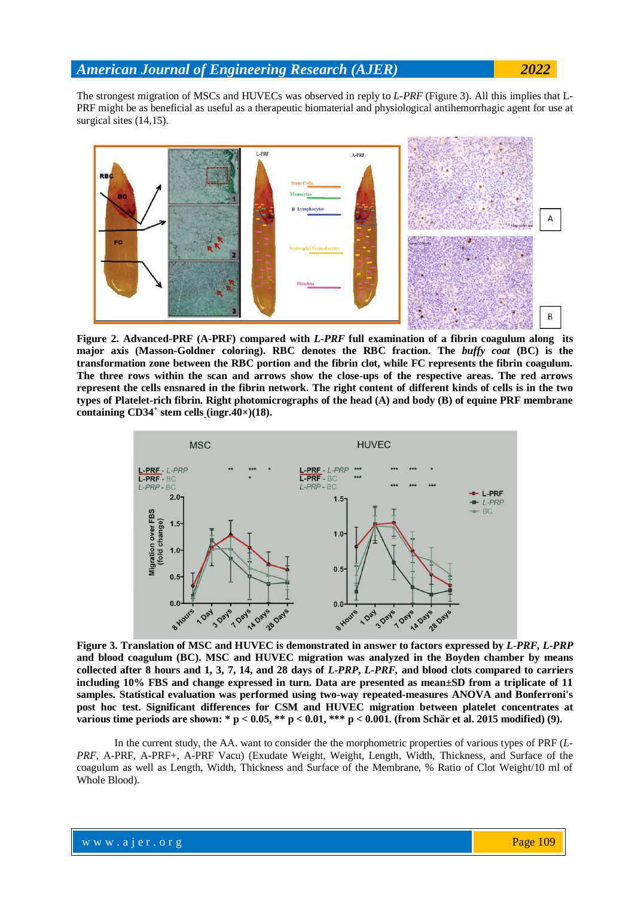The strongest migration of MSCs and HUVECs was observed in reply to *L-PRF* (Figure 3). All this implies that L-PRF might be as beneficial as useful as a therapeutic biomaterial and physiological antihemorrhagic agent for use at surgical sites (14,15).



**Figure 2. Advanced-PRF (A-PRF) compared with** *L-PRF* **full examination of a fibrin coagulum along its major axis (Masson-Goldner coloring). RBC denotes the RBC fraction. The** *buffy coat* **(BC) is the transformation zone between the RBC portion and the fibrin clot, while FC represents the fibrin coagulum. The three rows within the scan and arrows show the close-ups of the respective areas. The red arrows represent the cells ensnared in the fibrin network. The right content of different kinds of cells is in the two types of Platelet-rich fibrin. Right photomicrographs of the head (A) and body (B) of equine PRF membrane containing CD34<sup>+</sup> stem cells (ingr.40×)(18).**



**Figure 3. Translation of MSC and HUVEC is demonstrated in answer to factors expressed by** *L-PRF, L-PRP* **and blood coagulum (BC). MSC and HUVEC migration was analyzed in the Boyden chamber by means collected after 8 hours and 1, 3, 7, 14, and 28 days of** *L-PRP***,** *L-PRF,* **and blood clots compared to carriers including 10% FBS and change expressed in turn. Data are presented as mean±SD from a triplicate of 11 samples. Statistical evaluation was performed using two-way repeated-measures ANOVA and Bonferroni's post hoc test. Significant differences for CSM and HUVEC migration between platelet concentrates at various time periods are shown: \* p < 0.05, \*\* p < 0.01, \*\*\* p < 0.001. (from Schär et al. 2015 modified) (9).**

In the current study, the AA. want to consider the the morphometric properties of various types of PRF (*L-PRF*, A-PRF, A-PRF+, A-PRF Vacu) (Exudate Weight, Weight, Length, Width, Thickness, and Surface of the coagulum as well as Length, Width, Thickness and Surface of the Membrane, % Ratio of Clot Weight/10 ml of Whole Blood).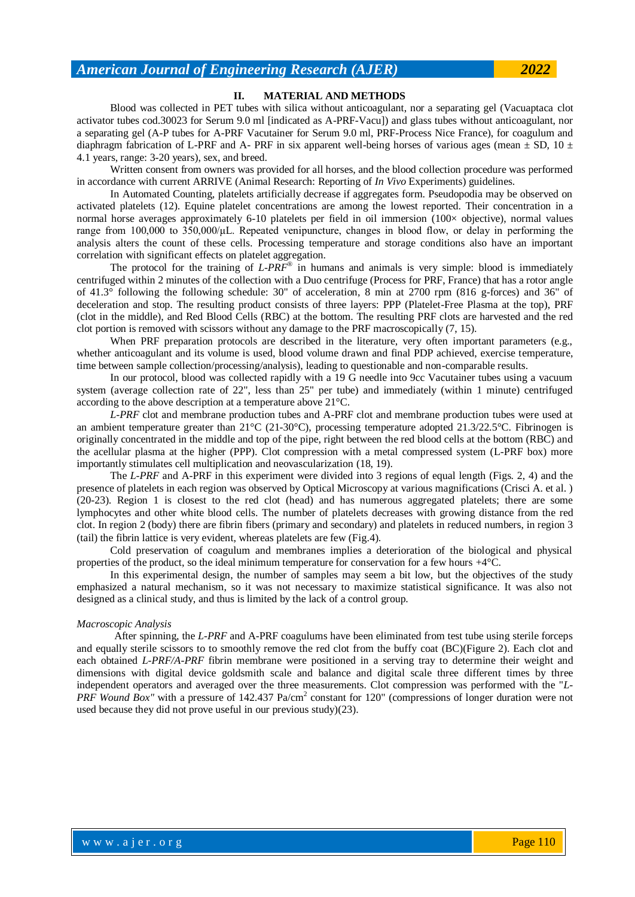#### **II. MATERIAL AND METHODS**

Blood was collected in PET tubes with silica without anticoagulant, nor a separating gel (Vacuaptaca clot activator tubes cod.30023 for Serum 9.0 ml [indicated as A-PRF-Vacu]) and glass tubes without anticoagulant, nor a separating gel (A-P tubes for A-PRF Vacutainer for Serum 9.0 ml, PRF-Process Nice France), for coagulum and diaphragm fabrication of L-PRF and A- PRF in six apparent well-being horses of various ages (mean  $\pm$  SD, 10  $\pm$ 4.1 years, range: 3-20 years), sex, and breed.

Written consent from owners was provided for all horses, and the blood collection procedure was performed in accordance with current ARRIVE (Animal Research: Reporting of *In Vivo* Experiments) guidelines.

In Automated Counting, platelets artificially decrease if aggregates form. Pseudopodia may be observed on activated platelets (12). Equine platelet concentrations are among the lowest reported. Their concentration in a normal horse averages approximately 6-10 platelets per field in oil immersion (100× objective), normal values range from 100,000 to 350,000/μL. Repeated venipuncture, changes in blood flow, or delay in performing the analysis alters the count of these cells. Processing temperature and storage conditions also have an important correlation with significant effects on platelet aggregation.

The protocol for the training of *L-PRF®* in humans and animals is very simple: blood is immediately centrifuged within 2 minutes of the collection with a Duo centrifuge (Process for PRF, France) that has a rotor angle of 41.3° following the following schedule: 30" of acceleration, 8 min at 2700 rpm (816 g-forces) and 36" of deceleration and stop. The resulting product consists of three layers: PPP (Platelet-Free Plasma at the top), PRF (clot in the middle), and Red Blood Cells (RBC) at the bottom. The resulting PRF clots are harvested and the red clot portion is removed with scissors without any damage to the PRF macroscopically (7, 15).

When PRF preparation protocols are described in the literature, very often important parameters (e.g., whether anticoagulant and its volume is used, blood volume drawn and final PDP achieved, exercise temperature, time between sample collection/processing/analysis), leading to questionable and non-comparable results.

In our protocol, blood was collected rapidly with a 19 G needle into 9cc Vacutainer tubes using a vacuum system (average collection rate of 22", less than 25" per tube) and immediately (within 1 minute) centrifuged according to the above description at a temperature above 21°C.

*L-PRF* clot and membrane production tubes and A-PRF clot and membrane production tubes were used at an ambient temperature greater than  $21^{\circ}C$  (21-30°C), processing temperature adopted 21.3/22.5°C. Fibrinogen is originally concentrated in the middle and top of the pipe, right between the red blood cells at the bottom (RBC) and the acellular plasma at the higher (PPP). Clot compression with a metal compressed system (L-PRF box) more importantly stimulates cell multiplication and neovascularization (18, 19).

The *L-PRF* and A-PRF in this experiment were divided into 3 regions of equal length (Figs. 2, 4) and the presence of platelets in each region was observed by Optical Microscopy at various magnifications (Crisci A. et al. ) (20-23). Region 1 is closest to the red clot (head) and has numerous aggregated platelets; there are some lymphocytes and other white blood cells. The number of platelets decreases with growing distance from the red clot. In region 2 (body) there are fibrin fibers (primary and secondary) and platelets in reduced numbers, in region 3 (tail) the fibrin lattice is very evident, whereas platelets are few (Fig.4).

Cold preservation of coagulum and membranes implies a deterioration of the biological and physical properties of the product, so the ideal minimum temperature for conservation for a few hours +4°C.

In this experimental design, the number of samples may seem a bit low, but the objectives of the study emphasized a natural mechanism, so it was not necessary to maximize statistical significance. It was also not designed as a clinical study, and thus is limited by the lack of a control group.

#### *Macroscopic Analysis*

After spinning, the *L-PRF* and A-PRF coagulums have been eliminated from test tube using sterile forceps and equally sterile scissors to to smoothly remove the red clot from the buffy coat (BC)(Figure 2). Each clot and each obtained *L-PRF/A-PRF* fibrin membrane were positioned in a serving tray to determine their weight and dimensions with digital device goldsmith scale and balance and digital scale three different times by three independent operators and averaged over the three measurements. Clot compression was performed with the "*L-*PRF Wound Box" with a pressure of 142.437 Pa/cm<sup>2</sup> constant for 120" (compressions of longer duration were not used because they did not prove useful in our previous study)(23).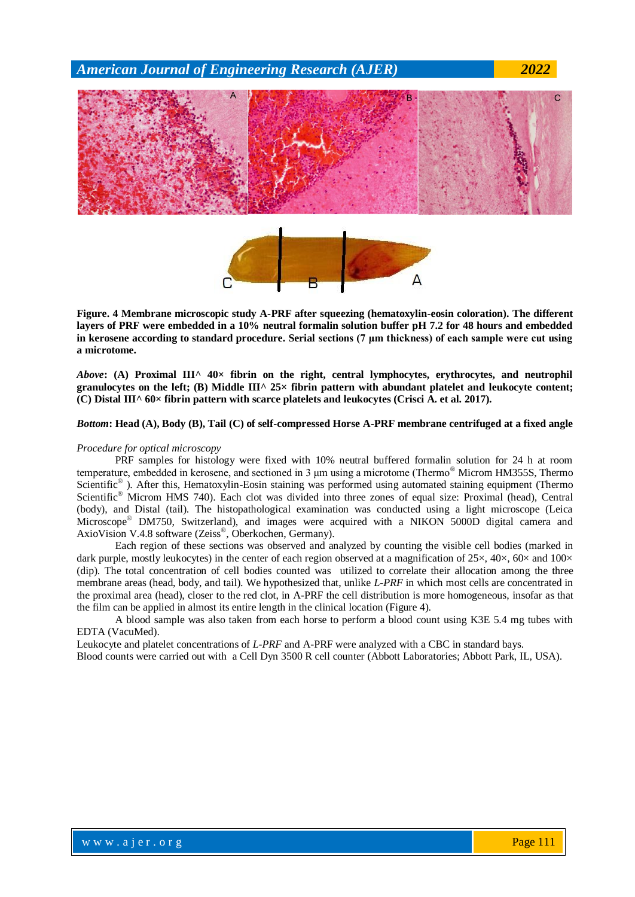

**Figure. 4 Membrane microscopic study A-PRF after squeezing (hematoxylin-eosin coloration). The different layers of PRF were embedded in a 10% neutral formalin solution buffer pH 7.2 for 48 hours and embedded in kerosene according to standard procedure. Serial sections (7 μm thickness) of each sample were cut using a microtome.**

*Above***: (A) Proximal III^ 40× fibrin on the right, central lymphocytes, erythrocytes, and neutrophil**  granulocytes on the left; (B) Middle  $III^{\wedge}$  25× fibrin pattern with abundant platelet and leukocyte content; **(C) Distal III^ 60× fibrin pattern with scarce platelets and leukocytes (Crisci A. et al. 2017).**

#### *Bottom***: Head (A), Body (B), Tail (C) of self-compressed Horse A-PRF membrane centrifuged at a fixed angle**

#### *Procedure for optical microscopy*

PRF samples for histology were fixed with 10% neutral buffered formalin solution for 24 h at room temperature, embedded in kerosene, and sectioned in 3 μm using a microtome (Thermo® Microm HM355S, Thermo Scientific<sup>®</sup>). After this, Hematoxylin-Eosin staining was performed using automated staining equipment (Thermo Scientific® Microm HMS 740). Each clot was divided into three zones of equal size: Proximal (head), Central (body), and Distal (tail). The histopathological examination was conducted using a light microscope (Leica Microscope® DM750, Switzerland), and images were acquired with a NIKON 5000D digital camera and AxioVision V.4.8 software (Zeiss® , Oberkochen, Germany).

Each region of these sections was observed and analyzed by counting the visible cell bodies (marked in dark purple, mostly leukocytes) in the center of each region observed at a magnification of  $25\times$ ,  $40\times$ ,  $60\times$  and  $100\times$ (dip). The total concentration of cell bodies counted was utilized to correlate their allocation among the three membrane areas (head, body, and tail). We hypothesized that, unlike *L-PRF* in which most cells are concentrated in the proximal area (head), closer to the red clot, in A-PRF the cell distribution is more homogeneous, insofar as that the film can be applied in almost its entire length in the clinical location (Figure 4).

A blood sample was also taken from each horse to perform a blood count using K3E 5.4 mg tubes with EDTA (VacuMed).

Leukocyte and platelet concentrations of *L-PRF* and A-PRF were analyzed with a CBC in standard bays.

Blood counts were carried out with a Cell Dyn 3500 R cell counter (Abbott Laboratories; Abbott Park, IL, USA).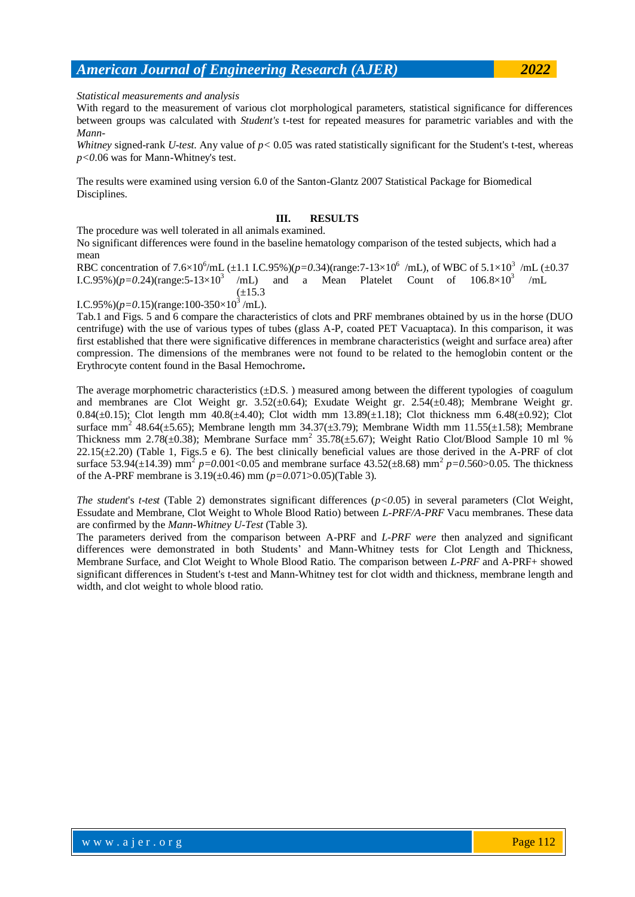*Statistical measurements and analysis*

With regard to the measurement of various clot morphological parameters, statistical significance for differences between groups was calculated with *Student's* t-test for repeated measures for parametric variables and with the *Mann-*

*Whitney* signed-rank *U-test*. Any value of  $p < 0.05$  was rated statistically significant for the Student's t-test, whereas *p<0*.06 was for Mann-Whitney's test.

The results were examined using version 6.0 of the Santon-Glantz 2007 Statistical Package for Biomedical Disciplines.

#### **III. RESULTS**

The procedure was well tolerated in all animals examined.

No significant differences were found in the baseline hematology comparison of the tested subjects, which had a mean

RBC concentration of 7.6×10<sup>6</sup>/mL (±1.1 I.C.95%)(*p*=0.34)(range:7-13×10<sup>6</sup> /mL), of WBC of 5.1×10<sup>3</sup> /mL (±0.37 I.C.95%)( $p=0.24$ )(range:5-13×10<sup>3</sup> /mL) and a Mean Platelet Count of  $106.8 \times 10^3$  $/mL$  $(\pm 15.3)$ 

I.C.95%)( $p=0.15$ )(range:100-350×10<sup>3</sup>/mL).

Tab.1 and Figs. 5 and 6 compare the characteristics of clots and PRF membranes obtained by us in the horse (DUO centrifuge) with the use of various types of tubes (glass A-P, coated PET Vacuaptaca). In this comparison, it was first established that there were significative differences in membrane characteristics (weight and surface area) after compression. The dimensions of the membranes were not found to be related to the hemoglobin content or the Erythrocyte content found in the Basal Hemochrome**.**

The average morphometric characteristics  $(\pm D.S.$  ) measured among between the different typologies of coagulum and membranes are Clot Weight gr.  $3.52(\pm 0.64)$ ; Exudate Weight gr.  $2.54(\pm 0.48)$ ; Membrane Weight gr. 0.84( $\pm$ 0.15); Clot length mm 40.8( $\pm$ 4.40); Clot width mm 13.89( $\pm$ 1.18); Clot thickness mm 6.48( $\pm$ 0.92); Clot surface mm<sup>2</sup> 48.64( $\pm$ 5.65); Membrane length mm 34.37( $\pm$ 3.79); Membrane Width mm 11.55( $\pm$ 1.58); Membrane Thickness mm 2.78( $\pm$ 0.38); Membrane Surface mm<sup>2</sup> 35.78( $\pm$ 5.67); Weight Ratio Clot/Blood Sample 10 ml %  $22.15(\pm 2.20)$  (Table 1, Figs.5 e 6). The best clinically beneficial values are those derived in the A-PRF of clot surface 53.94( $\pm$ 14.39) mm<sup>2</sup> p=0.001<0.05 and membrane surface 43.52( $\pm$ 8.68) mm<sup>2</sup> p=0.560>0.05. The thickness of the A-PRF membrane is 3.19(±0.46) mm (*p=0*.071>0.05)(Table 3).

*The student*'s *t-test* (Table 2) demonstrates significant differences (*p<0*.05) in several parameters (Clot Weight, Essudate and Membrane, Clot Weight to Whole Blood Ratio) between *L-PRF/A-PRF* Vacu membranes. These data are confirmed by the *Mann-Whitney U-Test* (Table 3).

The parameters derived from the comparison between A-PRF and *L-PRF were* then analyzed and significant differences were demonstrated in both Students' and Mann-Whitney tests for Clot Length and Thickness, Membrane Surface, and Clot Weight to Whole Blood Ratio. The comparison between *L-PRF* and A-PRF+ showed significant differences in Student's t-test and Mann-Whitney test for clot width and thickness, membrane length and width, and clot weight to whole blood ratio.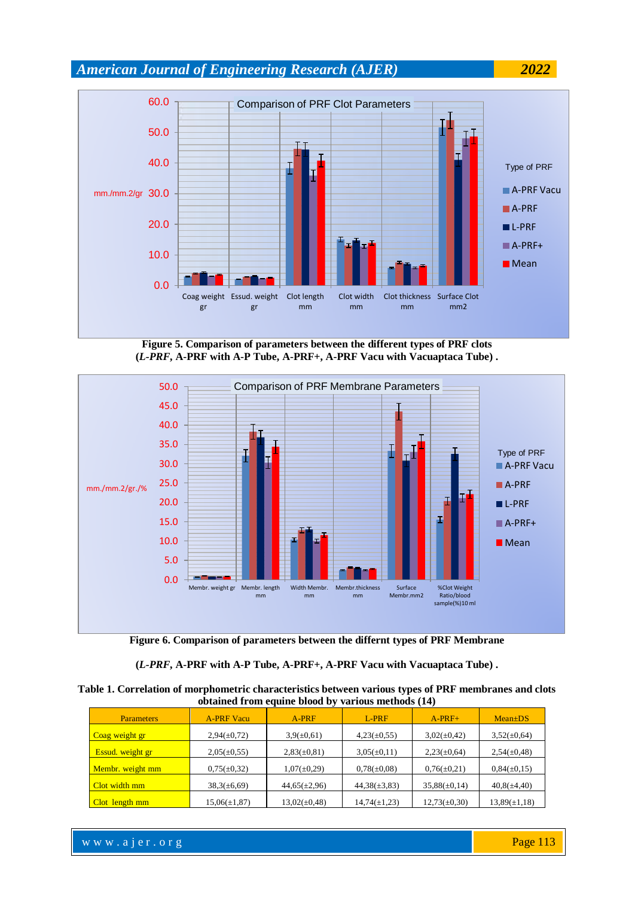

**Figure 5. Comparison of parameters between the different types of PRF clots (***L-PRF***, A-PRF with A-P Tube, A-PRF+, A-PRF Vacu with Vacuaptaca Tube) .**



**Figure 6. Comparison of parameters between the differnt types of PRF Membrane**

#### **(***L-PRF***, A-PRF with A-P Tube, A-PRF+, A-PRF Vacu with Vacuaptaca Tube) .**

**Table 1. Correlation of morphometric characteristics between various types of PRF membranes and clots obtained from equine blood by various methods (14)**

| <b>Parameters</b> | <b>A-PRF Vacu</b> | $A-PRF$           | $L-PRF$           | $A-PRF+$          | $Mean \pm DS$     |
|-------------------|-------------------|-------------------|-------------------|-------------------|-------------------|
| Coag weight gr    | $2,94(\pm 0,72)$  | $3,9(\pm 0,61)$   | $4,23(\pm 0,55)$  | $3,02(\pm 0,42)$  | $3,52(\pm 0,64)$  |
| Essud. weight gr  | $2,05(\pm 0,55)$  | $2,83(\pm 0,81)$  | $3,05(\pm 0,11)$  | $2,23(\pm 0,64)$  | $2,54(\pm 0,48)$  |
| Membr. weight mm  | $0,75(\pm 0,32)$  | $1,07(\pm 0,29)$  | $0,78(\pm 0,08)$  | $0,76(\pm 0,21)$  | $0,84(\pm 0,15)$  |
| Clot width mm     | $38,3(\pm 6,69)$  | $44,65(\pm 2,96)$ | $44,38(\pm 3,83)$ | $35,88(\pm 0,14)$ | $40,8(\pm 4,40)$  |
| Clot length mm    | $15,06(\pm 1,87)$ | $13,02(\pm 0,48)$ | $14,74(\pm 1,23)$ | $12,73(\pm 0,30)$ | $13,89(\pm 1,18)$ |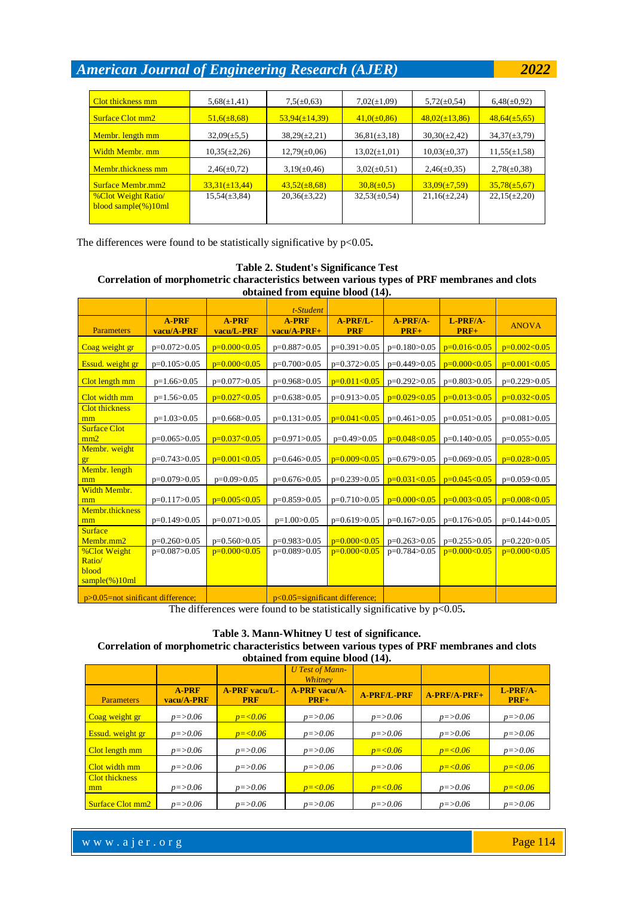| Clot thickness mm                                   | $5,68(\pm 1,41)$   | $7,5(\pm 0.63)$    | $7,02(\pm1,09)$   | $5,72(\pm 0.54)$   | $6,48(\pm 0.92)$  |
|-----------------------------------------------------|--------------------|--------------------|-------------------|--------------------|-------------------|
| Surface Clot mm2                                    | $51,6(\pm 8,68)$   | $53,94(\pm 14,39)$ | $41,0(\pm 0,86)$  | $48,02(\pm 13,86)$ | $48,64(\pm 5,65)$ |
| Membr. length mm                                    | $32,09(\pm 5,5)$   | $38,29(\pm 2,21)$  | $36,81(\pm 3,18)$ | $30,30(\pm 2,42)$  | $34,37(\pm 3,79)$ |
| Width Membr, mm                                     | $10,35(\pm 2,26)$  | $12,79(\pm 0.06)$  | $13,02(\pm 1,01)$ | $10,03(\pm 0,37)$  | $11,55(\pm 1,58)$ |
| Membr.thickness mm                                  | $2,46(\pm 0,72)$   | $3,19(\pm 0.46)$   | $3,02(\pm 0.51)$  | $2,46(\pm 0.35)$   | $2,78(\pm 0,38)$  |
| <b>Surface Membr.mm2</b>                            | $33,31(\pm 13,44)$ | $43,52(\pm 8,68)$  | $30,8(\pm 0.5)$   | $33,09(\pm 7,59)$  | $35,78(\pm 5,67)$ |
| <b>%Clot Weight Ratio</b><br>$blood sample(\%)10ml$ | $15,54(\pm 3,84)$  | $20,36(\pm 3,22)$  | $32,53(\pm 0.54)$ | $21,16(\pm 2,24)$  | $22,15(\pm 2,20)$ |
|                                                     |                    |                    |                   |                    |                   |

The differences were found to be statistically significative by p<0.05.

#### **Table 2. Student's Significance Test Correlation of morphometric characteristics between various types of PRF membranes and clots obtained from equine blood (14).**

|                                      |                            |                            | t-Student                         |                        |                    |                    |                |
|--------------------------------------|----------------------------|----------------------------|-----------------------------------|------------------------|--------------------|--------------------|----------------|
| <b>Parameters</b>                    | <b>A-PRF</b><br>vacu/A-PRF | <b>A-PRF</b><br>vacu/L-PRF | <b>A-PRF</b><br>vacu/A-PRF+       | A-PRF/L-<br><b>PRF</b> | A-PRF/A-<br>$PRF+$ | L-PRF/A-<br>$PRF+$ | <b>ANOVA</b>   |
| Coag weight gr                       | $p=0.072>0.05$             | $p=0.000<0.05$             | $p=0.887>0.05$                    | $p=0.391>0.05$         | $p=0.180>0.05$     | $p=0.016<0.05$     | $p=0.002<0.05$ |
| Essud. weight gr                     | $p=0.105>0.05$             | $p=0.000<0.05$             | $p=0.700>0.05$                    | $p=0.372>0.05$         | $p=0.449>0.05$     | $p=0.000<0.05$     | $p=0.001<0.05$ |
| Clot length mm                       | $p=1.66>0.05$              | $p=0.077>0.05$             | $p=0.968>0.05$                    | $p=0.011<0.05$         | $p=0.292>0.05$     | $p=0.803>0.05$     | $p=0.229>0.05$ |
| Clot width mm                        | $p=1.56>0.05$              | $p=0.027<0.05$             | $p=0.638>0.05$                    | $p=0.913>0.05$         | $p=0.029<0.05$     | $p=0.013<0.05$     | $p=0.032<0.05$ |
| <b>Clot thickness</b><br>mm          | $p=1.03>0.05$              | $p=0.668>0.05$             | $p=0.131>0.05$                    | $p=0.041<0.05$         | $p=0.461>0.05$     | $p=0.051>0.05$     | $p=0.081>0.05$ |
| <b>Surface Clot</b><br>mm2           | $p=0.065>0.05$             | $p=0.037<0.05$             | $p=0.971>0.05$                    | $p=0.49>0.05$          | $p=0.048<0.05$     | $p=0.140>0.05$     | $p=0.055>0.05$ |
| Membr. weight<br>gr                  | $p=0.743>0.05$             | $p=0.001<0.05$             | $p=0.646>0.05$                    | $p=0.009<0.05$         | $p=0.679>0.05$     | $p=0.069>0.05$     | $p=0.028>0.05$ |
| Membr. length<br>mm                  | $p=0.079>0.05$             | $p=0.09>0.05$              | $p=0.676>0.05$                    | $p=0.239>0.05$         | $p=0.031<0.05$     | $p=0.045<0.05$     | $p=0.059<0.05$ |
| Width Membr.<br>mm                   | $p=0.117>0.05$             | $p=0.005<0.05$             | $p=0.859>0.05$                    | $p=0.710>0.05$         | $p=0.000<0.05$     | $p=0.003<0.05$     | $p=0.008<0.05$ |
| Membr.thickness<br>mm                | $p=0.149>0.05$             | $p=0.071>0.05$             | $p=1.00>0.05$                     | $p=0.619>0.05$         | $p=0.167>0.05$     | $p=0.176>0.05$     | $p=0.144>0.05$ |
| <b>Surface</b><br>Membr.mm2          | $p=0.260>0.05$             | $p=0.560>0.05$             | $p=0.983>0.05$                    | $p=0.000<0.05$         | $p=0.263>0.05$     | $p=0.255>0.05$     | $p=0.220>0.05$ |
| <b>%Clot Weight</b><br>Ratio/        | $p=0.087>0.05$             | $p=0.000<0.05$             | $p=0.089>0.05$                    | $p=0.000<0.05$         | $p=0.784>0.05$     | $p=0.000<0.05$     | $p=0.000<0.05$ |
| blood<br>$sample(\%)10ml$            |                            |                            |                                   |                        |                    |                    |                |
| $p>0.05$ =not sinificant difference; |                            |                            | $p<0.05$ =significant difference; |                        |                    |                    |                |

The differences were found to be statistically significative by p<0.05.

# **Table 3. Mann-Whitney U test of significance. Correlation of morphometric characteristics between various types of PRF membranes and clots**

| obtained from equine blood (14). |              |                 |                                 |                    |                |              |  |  |
|----------------------------------|--------------|-----------------|---------------------------------|--------------------|----------------|--------------|--|--|
|                                  |              |                 | <b>U</b> Test of Mann-          |                    |                |              |  |  |
|                                  | A-PRF        | $A-PRF$ vacu/L- | Whitney<br><b>A-PRF</b> vacu/A- | <b>A-PRF/L-PRF</b> | $A-PRF/A-PRF+$ | $L$ -PRF/A-  |  |  |
| <b>Parameters</b>                | vacu/A-PRF   | <b>PRF</b>      | $PRF+$                          |                    |                | $PRF+$       |  |  |
| Coag weight gr                   | $p = > 0.06$ | $p = 0.06$      | $p = > 0.06$                    | $p = > 0.06$       | $p = > 0.06$   | $p = > 0.06$ |  |  |
| Essud. weight gr                 | $p = > 0.06$ | $p = 0.06$      | $p = > 0.06$                    | $p = > 0.06$       | $p = > 0.06$   | $p = > 0.06$ |  |  |
| Clot length mm                   | $p = > 0.06$ | $p = > 0.06$    | $p = > 0.06$                    | $p = 0.06$         | $p = 0.06$     | $p = > 0.06$ |  |  |
| Clot width mm                    | $p = > 0.06$ | $p = > 0.06$    | $p = > 0.06$                    | $p = > 0.06$       | $p = 0.06$     | $p = 0.06$   |  |  |
| Clot thickness                   |              |                 |                                 |                    |                |              |  |  |
| mm                               | $p = > 0.06$ | $p = > 0.06$    | $p = 0.06$                      | $p = 0.06$         | $p = > 0.06$   | $p = 0.06$   |  |  |
| <b>Surface Clot mm2</b>          | $p = > 0.06$ | $p = > 0.06$    | $p = > 0.06$                    | $p = > 0.06$       | $p = > 0.06$   | $p = > 0.06$ |  |  |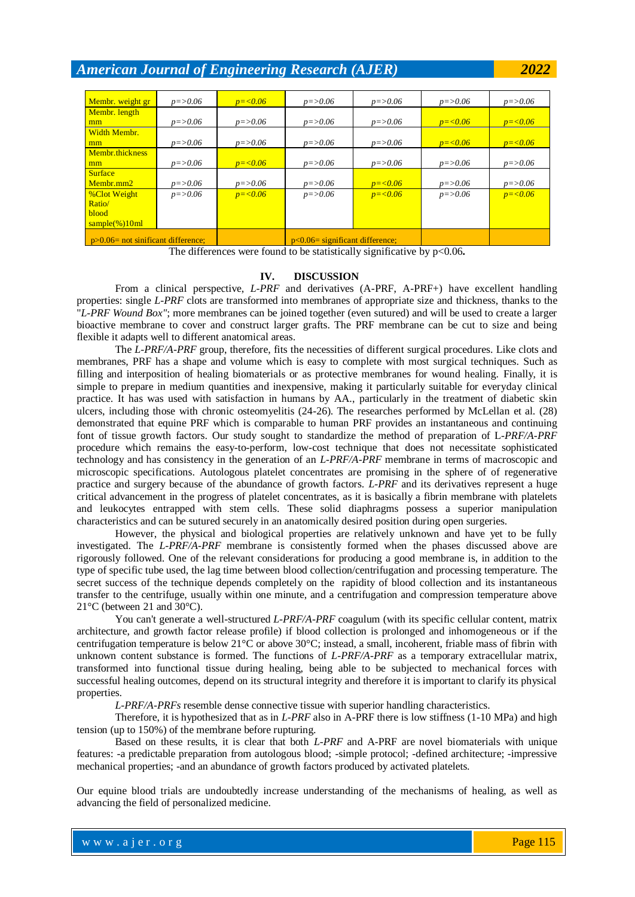| Membr. weight gr                      | $p = > 0.06$ | $p = 0.06$   | $p = > 0.06$                       | $p = > 0.06$ | $p = > 0.06$ | $p = > 0.06$ |
|---------------------------------------|--------------|--------------|------------------------------------|--------------|--------------|--------------|
| Membr. length                         |              |              |                                    |              |              |              |
| mm                                    | $p = > 0.06$ | $p = > 0.06$ | $p = > 0.06$                       | $p = > 0.06$ | $p = 0.06$   | $p = 0.06$   |
| Width Membr.                          |              |              |                                    |              |              |              |
| mm                                    | $p = > 0.06$ | $p = > 0.06$ | $p = > 0.06$                       | $p = > 0.06$ | $p = 0.06$   | $p = 0.06$   |
| Membr.thickness                       |              |              |                                    |              |              |              |
| mm                                    | $p = > 0.06$ | $p = 0.06$   | $p = > 0.06$                       | $p = > 0.06$ | $p = > 0.06$ | $p = > 0.06$ |
| <b>Surface</b>                        |              |              |                                    |              |              |              |
| Membr.mm2                             | $p = > 0.06$ | $p = > 0.06$ | $p = > 0.06$                       | $p = 0.06$   | $p = > 0.06$ | $p = > 0.06$ |
| <b>%Clot Weight</b>                   | $p = > 0.06$ | $p = 0.06$   | $p = > 0.06$                       | $p = 0.06$   | $p = > 0.06$ | $p = 0.06$   |
| Ratio/                                |              |              |                                    |              |              |              |
| <b>blood</b>                          |              |              |                                    |              |              |              |
| $\frac{1}{2}$ sample(%)10ml           |              |              |                                    |              |              |              |
| $p>0.06$ = not sinificant difference; |              |              | $p<0.06$ = significant difference; |              |              |              |

The differences were found to be statistically significative by  $p<0.06$ .

#### **IV. DISCUSSION**

From a clinical perspective, *L-PRF* and derivatives (A-PRF, A-PRF+) have excellent handling properties: single *L-PRF* clots are transformed into membranes of appropriate size and thickness, thanks to the "*L-PRF Wound Box"*; more membranes can be joined together (even sutured) and will be used to create a larger bioactive membrane to cover and construct larger grafts. The PRF membrane can be cut to size and being flexible it adapts well to different anatomical areas.

The *L-PRF/A-PRF* group, therefore, fits the necessities of different surgical procedures. Like clots and membranes, PRF has a shape and volume which is easy to complete with most surgical techniques. Such as filling and interposition of healing biomaterials or as protective membranes for wound healing. Finally, it is simple to prepare in medium quantities and inexpensive, making it particularly suitable for everyday clinical practice. It has was used with satisfaction in humans by AA., particularly in the treatment of diabetic skin ulcers, including those with chronic osteomyelitis (24-26). The researches performed by McLellan et al. (28) demonstrated that equine PRF which is comparable to human PRF provides an instantaneous and continuing font of tissue growth factors. Our study sought to standardize the method of preparation of L*-PRF/A-PRF* procedure which remains the easy-to-perform, low-cost technique that does not necessitate sophisticated technology and has consistency in the generation of an *L-PRF/A-PRF* membrane in terms of macroscopic and microscopic specifications. Autologous platelet concentrates are promising in the sphere of of regenerative practice and surgery because of the abundance of growth factors. *L-PRF* and its derivatives represent a huge critical advancement in the progress of platelet concentrates, as it is basically a fibrin membrane with platelets and leukocytes entrapped with stem cells. These solid diaphragms possess a superior manipulation characteristics and can be sutured securely in an anatomically desired position during open surgeries.

However, the physical and biological properties are relatively unknown and have yet to be fully investigated. The *L-PRF/A-PRF* membrane is consistently formed when the phases discussed above are rigorously followed. One of the relevant considerations for producing a good membrane is, in addition to the type of specific tube used, the lag time between blood collection/centrifugation and processing temperature. The secret success of the technique depends completely on the rapidity of blood collection and its instantaneous transfer to the centrifuge, usually within one minute, and a centrifugation and compression temperature above 21°C (between 21 and 30°C).

You can't generate a well-structured *L-PRF/A-PRF* coagulum (with its specific cellular content, matrix architecture, and growth factor release profile) if blood collection is prolonged and inhomogeneous or if the centrifugation temperature is below 21°C or above 30°C; instead, a small, incoherent, friable mass of fibrin with unknown content substance is formed. The functions of *L-PRF/A-PRF* as a temporary extracellular matrix, transformed into functional tissue during healing, being able to be subjected to mechanical forces with successful healing outcomes, depend on its structural integrity and therefore it is important to clarify its physical properties.

*L-PRF/A-PRFs* resemble dense connective tissue with superior handling characteristics.

Therefore, it is hypothesized that as in *L-PRF* also in A-PRF there is low stiffness (1-10 MPa) and high tension (up to 150%) of the membrane before rupturing.

Based on these results, it is clear that both *L-PRF* and A-PRF are novel biomaterials with unique features: -a predictable preparation from autologous blood; -simple protocol; -defined architecture; -impressive mechanical properties; -and an abundance of growth factors produced by activated platelets.

Our equine blood trials are undoubtedly increase understanding of the mechanisms of healing, as well as advancing the field of personalized medicine.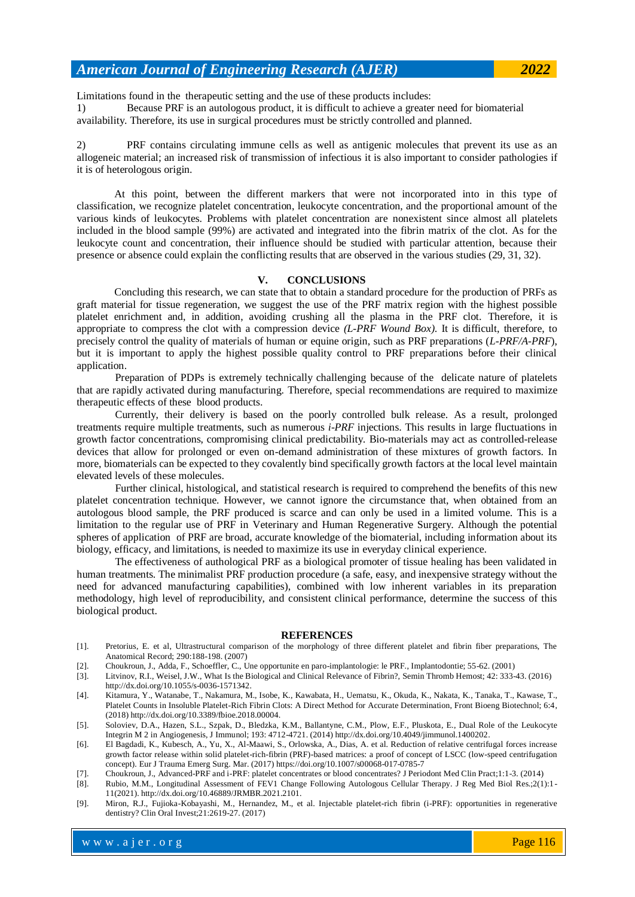Limitations found in the therapeutic setting and the use of these products includes: 1) Because PRF is an autologous product, it is difficult to achieve a greater need for biomaterial availability. Therefore, its use in surgical procedures must be strictly controlled and planned.

2) PRF contains circulating immune cells as well as antigenic molecules that prevent its use as an allogeneic material; an increased risk of transmission of infectious it is also important to consider pathologies if it is of heterologous origin.

At this point, between the different markers that were not incorporated into in this type of classification, we recognize platelet concentration, leukocyte concentration, and the proportional amount of the various kinds of leukocytes. Problems with platelet concentration are nonexistent since almost all platelets included in the blood sample (99%) are activated and integrated into the fibrin matrix of the clot. As for the leukocyte count and concentration, their influence should be studied with particular attention, because their presence or absence could explain the conflicting results that are observed in the various studies (29, 31, 32).

#### **V. CONCLUSIONS**

Concluding this research, we can state that to obtain a standard procedure for the production of PRFs as graft material for tissue regeneration, we suggest the use of the PRF matrix region with the highest possible platelet enrichment and, in addition, avoiding crushing all the plasma in the PRF clot. Therefore, it is appropriate to compress the clot with a compression device *(L-PRF Wound Box)*. It is difficult, therefore, to precisely control the quality of materials of human or equine origin, such as PRF preparations (*L-PRF/A-PRF*), but it is important to apply the highest possible quality control to PRF preparations before their clinical application.

Preparation of PDPs is extremely technically challenging because of the delicate nature of platelets that are rapidly activated during manufacturing. Therefore, special recommendations are required to maximize therapeutic effects of these blood products.

Currently, their delivery is based on the poorly controlled bulk release. As a result, prolonged treatments require multiple treatments, such as numerous *i-PRF* injections. This results in large fluctuations in growth factor concentrations, compromising clinical predictability. Bio-materials may act as controlled-release devices that allow for prolonged or even on-demand administration of these mixtures of growth factors. In more, biomaterials can be expected to they covalently bind specifically growth factors at the local level maintain elevated levels of these molecules.

Further clinical, histological, and statistical research is required to comprehend the benefits of this new platelet concentration technique. However, we cannot ignore the circumstance that, when obtained from an autologous blood sample, the PRF produced is scarce and can only be used in a limited volume. This is a limitation to the regular use of PRF in Veterinary and Human Regenerative Surgery. Although the potential spheres of application of PRF are broad, accurate knowledge of the biomaterial, including information about its biology, efficacy, and limitations, is needed to maximize its use in everyday clinical experience.

The effectiveness of authological PRF as a biological promoter of tissue healing has been validated in human treatments. The minimalist PRF production procedure (a safe, easy, and inexpensive strategy without the need for advanced manufacturing capabilities), combined with low inherent variables in its preparation methodology, high level of reproducibility, and consistent clinical performance, determine the success of this biological product.

#### **REFERENCES**

- [1]. Pretorius, E. et al, Ultrastructural comparison of the morphology of three different platelet and fibrin fiber preparations, The Anatomical Record; 290:188-198. (2007)
- [2]. Choukroun, J., Adda, F., Schoeffler, C., Une opportunite en paro-implantologie: le PRF., Implantodontie; 55-62. (2001)
- [3]. Litvinov, R.I., Weisel, J.W., What Is the Biological and Clinical Relevance of Fibrin?, Semin Thromb Hemost; 42: 333-43. (2016) [http://dx.doi.org/10.1055/s-0036-1571342.](http://dx.doi.org/10.1055/s-0036-1571342)
- [4]. Kitamura, Y., Watanabe, T., Nakamura, M., Isobe, K., Kawabata, H., Uematsu, K., Okuda, K., Nakata, K., Tanaka, T., Kawase, T., Platelet Counts in Insoluble Platelet-Rich Fibrin Clots: A Direct Method for Accurate Determination, Front Bioeng Biotechnol; 6:4, (2018) [http://dx.doi.org/10.3389/fbioe.2018.00004.](http://dx.doi.org/10.3389/fbioe.2018.00004)
- [5]. Soloviev, D.A., Hazen, S.L., Szpak, D., Bledzka, K.M., Ballantyne, C.M., Plow, E.F., Pluskota, E., Dual Role of the Leukocyte Integrin M 2 in Angiogenesis, J Immunol; 193: 4712-4721. (2014) [http://dx.doi.org/10.4049/jimmunol.1400202.](http://dx.doi.org/10.4049/jimmunol.1400202)
- [6]. El Bagdadi, K., Kubesch, A., Yu, X., Al-Maawi, S., Orlowska, A., Dias, A. et al. Reduction of relative centrifugal forces increase growth factor release within solid platelet-rich-fibrin (PRF)-based matrices: a proof of concept of LSCC (low-speed centrifugation concept). Eur J Trauma Emerg Surg. Mar. (2017) https://do[i.org/10.1007/s00068-017-0785-7](https://doi.org/10.1007/s00068-017-0785-7)
- [7]. Choukroun, J., Advanced-PRF and i-PRF: platelet concentrates or blood concentrates? J Periodont Med Clin Pract;1:1-3. (2014)
- [8]. Rubio, M.M., Longitudinal Assessment of FEV1 Change Following Autologous Cellular Therapy. J Reg Med Biol Res.;2(1):1- 11(2021[\). http://dx.doi.org/10.46889/JRMBR.2021.2101.](http://dx.doi.org/10.46889/JRMBR.2021.2101)
- [9]. Miron, R.J., Fujioka-Kobayashi, M., Hernandez, M., et al. Injectable platelet-rich fibrin (i-PRF): opportunities in regenerative dentistry? Clin Oral Invest;21:2619-27. (2017)